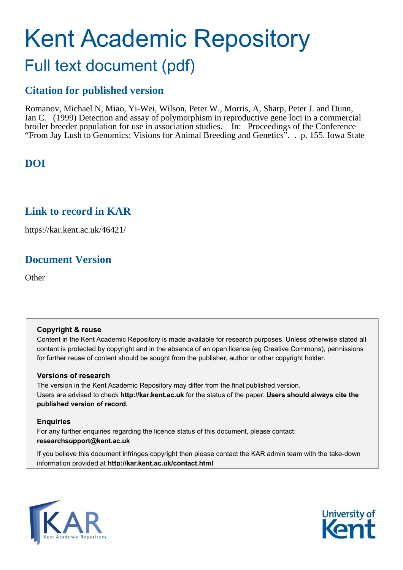# Kent Academic Repository Full text document (pdf)

# **Citation for published version**

Romanov, Michael N, Miao, Yi-Wei, Wilson, Peter W., Morris, A, Sharp, Peter J. and Dunn, Ian C. (1999) Detection and assay of polymorphism in reproductive gene loci in a commercial broiler breeder population for use in association studies. In: Proceedings of the Conference "From Jay Lush to Genomics: Visions for Animal Breeding and Genetics". . p. 155. Iowa State

# **DOI**

# **Link to record in KAR**

https://kar.kent.ac.uk/46421/

# **Document Version**

**Other** 

# **Copyright & reuse**

Content in the Kent Academic Repository is made available for research purposes. Unless otherwise stated all content is protected by copyright and in the absence of an open licence (eg Creative Commons), permissions for further reuse of content should be sought from the publisher, author or other copyright holder.

# **Versions of research**

The version in the Kent Academic Repository may differ from the final published version. Users are advised to check **http://kar.kent.ac.uk** for the status of the paper. **Users should always cite the published version of record.**

# **Enquiries**

For any further enquiries regarding the licence status of this document, please contact: **researchsupport@kent.ac.uk**

If you believe this document infringes copyright then please contact the KAR admin team with the take-down information provided at **http://kar.kent.ac.uk/contact.html**



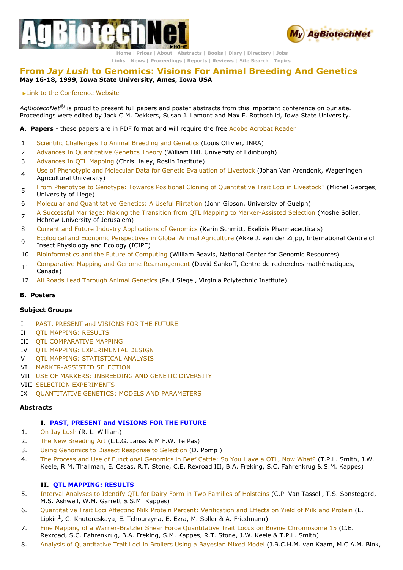



**[Home](https://web.archive.org/web/20050314091227/http://www.agbiotechnet.com/index.asp)** | **[Prices](https://web.archive.org/web/20050314091227/http://www.agbiotechnet.com/trial/subscribe_info.asp)** | **[About](https://web.archive.org/web/20050314091227/http://www.agbiotechnet.com/about/index.asp)** | **[Abstracts](https://web.archive.org/web/20050314091227/http://www.agbiotechnet.com/abstracts/index.asp)** | **[Books](https://web.archive.org/web/20050314091227/http://www.agbiotechnet.com/books/index.asp)** | **[Diary](https://web.archive.org/web/20050314091227/http://www.agbiotechnet.com/calendar/index.asp)** | **[Directory](https://web.archive.org/web/20050314091227/http://www.agbiotechnet.com/Directory/index.asp)** | **[Jobs](https://web.archive.org/web/20050314091227/http://www.agbiotechnet.com/jobs/index.asp) [Links](https://web.archive.org/web/20050314091227/http://www.agbiotechnet.com/links/index.asp)** | **[News](https://web.archive.org/web/20050314091227/http://www.agbiotechnet.com/news/database/index.asp)** | **[Proceedings](https://web.archive.org/web/20050314091227/http://www.agbiotechnet.com/proceedings/index.asp)** | **[Reports](https://web.archive.org/web/20050314091227/http://www.agbiotechnet.com/reports/index.asp)** | **[Reviews](https://web.archive.org/web/20050314091227/http://www.agbiotechnet.com/reviews/index.asp)** | **Site [Search](https://web.archive.org/web/20050314091227/http://www.agbiotechnet.com/query.asp)** | **[Topics](https://web.archive.org/web/20050314091227/http://www.agbiotechnet.com/topics/index.asp)**

## **From** *Jay Lush* **to Genomics: Visions For Animal Breeding And Genetics May 1618, 1999, Iowa State University, Ames, Iowa USA**

Link to the [Conference](https://web.archive.org/web/20050314091227/http://www.public.iastate.edu/~ans/graduate/visions.html) Website

*AgBiotechNet®* is proud to present full papers and poster abstracts from this important conference on our site. Proceedings were edited by Jack C.M. Dekkers, Susan J. Lamont and Max F. Rothschild, Iowa State University.

**A. Papers** these papers are in PDF format and will require the free Adobe [Acrobat](https://web.archive.org/web/20050314091227/http://www.adobe.com/) Reader

- 1 Scientific [Challenges](https://web.archive.org/web/20050314091227/http://www.agbiotechnet.com/proceedings/1_Ollivier.pdf) To Animal Breeding and Genetics (Louis Ollivier, INRA)
- 2 Advances In [Quantitative](https://web.archive.org/web/20050314091227/http://www.agbiotechnet.com/proceedings/2_hill.pdf) Genetics Theory (William Hill, University of Edinburgh)
- 3 [Advances](https://web.archive.org/web/20050314091227/http://www.agbiotechnet.com/proceedings/3_haley.pdf) In QTL Mapping (Chris Haley, Roslin Institute)
- 4 Use of [Phenotypic](https://web.archive.org/web/20050314091227/http://www.agbiotechnet.com/proceedings/4_johan.pdf) and Molecular Data for Genetic Evaluation of Livestock (Johan Van Arendonk, Wageningen Agricultural University)
- <sup>5</sup> From Phenotype to Genotype: Towards Positional Cloning of [Quantitative](https://web.archive.org/web/20050314091227/http://www.agbiotechnet.com/proceedings/5_Georges.pdf) Trait Loci in Livestock? (Michel Georges, University of Liege)
- 6 Molecular and [Quantitative](https://web.archive.org/web/20050314091227/http://www.agbiotechnet.com/proceedings/6_gibson.pdf) Genetics: A Useful Flirtation (John Gibson, University of Guelph)
- 7 A Successful Marriage: Making the Transition from QTL Mapping to Marker-Assisted Selection (Moshe Soller, Hebrew University of Jerusalem)
- 8 Current and Future Industry [Applications](https://web.archive.org/web/20050314091227/http://www.agbiotechnet.com/proceedings/8_Schmitt.pdf) of Genomics (Karin Schmitt, Exelixis Pharmaceuticals)
- <sup>9</sup> Ecological and Economic [Perspectives](https://web.archive.org/web/20050314091227/http://www.agbiotechnet.com/proceedings/9_akke.pdf) in Global Animal Agriculture (Akke J. van der Zijpp, International Centre of Insect Physiology and Ecology (ICIPE)
- 10 [Bioinformatics](https://web.archive.org/web/20050314091227/http://www.agbiotechnet.com/proceedings/10_Sobral.pdf) and the Future of Computing (William Beavis, National Center for Genomic Resources)
- 11 Comparative Mapping and Genome [Rearrangement](https://web.archive.org/web/20050314091227/http://www.agbiotechnet.com/proceedings/11_Sankoff.pdf) (David Sankoff, Centre de recherches mathématiques, Canada)
- 12 All Roads Lead Through Animal [Genetics](https://web.archive.org/web/20050314091227/http://www.agbiotechnet.com/proceedings/12_Siegel.pdf) (Paul Siegel, Virginia Polytechnic Institute)

## **B. Posters**

#### **Subject Groups**

- I PAST, [PRESENT](#page--1-7) and VISIONS FOR THE FUTURE
- II QTL [MAPPING:](#page--1-1) RESULTS
- III QTL [COMPARATIVE](#page--1-16) MAPPING
- IV OTL MAPPING: [EXPERIMENTAL](#page--1-6) DESIGN
- V QTL MAPPING: [STATISTICAL](#page--1-15) ANALYSIS
- VI MARKER-ASSISTED SELECTION
- VII USE OF MARKERS: [INBREEDING](#page--1-10) AND GENETIC DIVERSITY
- VIII SELECTION [EXPERIMENTS](#page--1-2)
- IX [QUANTITATIVE](#page--1-4) GENETICS: MODELS AND PARAMETERS

#### **Abstracts**

#### **I. PAST, PRESENT and VISIONS FOR THE FUTURE**

- 1. On Jay [Lush](#page--1-9) (R. L. William)
- 2. The New [Breeding](#page--1-5) Art (L.L.G. Janss & M.F.W. Te Pas)
- 3. Using [Genomics](#page--1-0) to Dissect Response to Selection (D. Pomp )
- 4. The Process and Use of [Functional](#page--1-14) Genomics in Beef Cattle: So You Have a OTL, Now What? (T.P.L. Smith, J.W. Keele, R.M. Thallman, E. Casas, R.T. Stone, C.E. Rexroad III, B.A. Freking, S.C. Fahrenkrug & S.M. Kappes)

## **II. QTL MAPPING: RESULTS**

- 5. Interval Analyses to Identify QTL for Dairy Form in Two Families of [Holsteins](#page--1-11) (C.P. Van Tassell, T.S. Sonstegard, M.S. Ashwell, W.M. Garrett & S.M. Kappes)
- 6. [Quantitative](#page--1-3) Trait Loci Affecting Milk Protein Percent: Verification and Effects on Yield of Milk and Protein (E. Lipkin<sup>1</sup>, G. Khutoreskaya, E. Tchourzyna, E. Ezra, M. Soller & A. Friedmann)
- 7. Fine Mapping of a Warner-Bratzler Shear Force Quantitative Trait Locus on Bovine Chromosome 15 (C.E. Rexroad, S.C. Fahrenkrug, B.A. Freking, S.M. Kappes, R.T. Stone, J.W. Keele & T.P.L. Smith)
- 8. Analysis of [Quantitative](#page--1-8) Trait Loci in Broilers Using a Bayesian Mixed Model (J.B.C.H.M. van Kaam, M.C.A.M. Bink,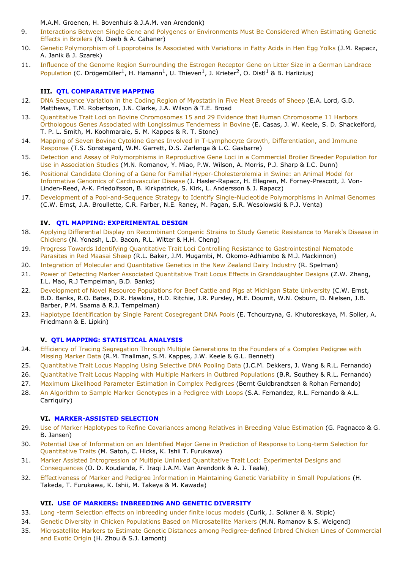M.A.M. Groenen, H. Bovenhuis & J.A.M. van Arendonk)

- 9. Interactions Between Single Gene and Polygenes or [Environments](#page--1-23) Must Be Considered When Estimating Genetic Effects in Broilers (N. Deeb & A. Cahaner)
- 10. Genetic [Polymorphism](#page--1-36) of Lipoproteins Is Associated with Variations in Fatty Acids in Hen Egg Yolks (J.M. Rapacz, A. Janik & J. Szarek)
- 11. Influence of the Genome Region Surrounding the Estrogen Receptor Gene on Litter Size in a German Landrace Population (C. Drögemüller<sup>1</sup>, H. Hamann<sup>1</sup>, U. Thieven<sup>1</sup>, J. Krieter<sup>2</sup>, O. Distl<sup>1</sup> & B. Harlizius)

## **III. QTL COMPARATIVE MAPPING**

- 12. DNA [Sequence](#page--1-18) Variation in the Coding Region of Myostatin in Five Meat Breeds of Sheep (E.A. Lord, G.D. Matthews, T.M. Robertson, J.N. Clarke, J.A. Wilson & T.E. Broad
- 13. Ouantitative Trait Loci on Bovine [Chromosomes](#page--1-31) 15 and 29 Evidence that Human Chromosome 11 Harbors Orthologous Genes Associated with Longissimus Tenderness in Bovine (E. Casas, J. W. Keele, S. D. Shackelford, T. P. L. Smith, M. Koohmaraie, S. M. Kappes & R. T. Stone)
- 14. Mapping of Seven Bovine Cytokine Genes Involved in T-Lymphocyte Growth, [Differentiation,](#page--1-29) and Immune Response (T.S. Sonstegard, W.M. Garrett, D.S. Zarlenga & L.C. Gasbarre)
- 15. Detection and Assay of [Polymorphisms](#page--1-28) in Reproductive Gene Loci in a Commercial Broiler Breeder Population for Use in Association Studies (M.N. Romanov, Y. Miao, P.W. Wilson, A. Morris, P.J. Sharp & I.C. Dunn)
- 16. Positional Candidate Cloning of a Gene for Familial Hyper-Cholesterolemia in Swine: an Animal Model for Informative Genomics of Cardiovascular Disease (J. Hasler-Rapacz, H. Ellegren, M. Forney-Prescott, J. Von-Linden-Reed, A-K. Friedolfsson, B. Kirkpatrick, S. Kirk, L. Andersson & J. Rapacz)
- 17. Development of a Pool-and-Sequence Strategy to Identify Single-Nucleotide Polymorphisms in Animal Genomes (C.W. Ernst, J.A. Broullette, C.R. Farber, N.E. Raney, M. Pagan, S.R. Wesolowski & P.J. Venta)

#### **IV. QTL MAPPING: EXPERIMENTAL DESIGN**

- 18. Applying Differential Display on [Recombinant](#page--1-38) Congenic Strains to Study Genetic Resistance to Marek's Disease in Chickens (N. Yonash, L.D. Bacon, R.L. Witter & H.H. Cheng)
- 19. Progress Towards Identifying Quantitative Trait Loci Controlling Resistance to Gastrointestinal Nematode Parasites in Red Maasai Sheep (R.L. Baker, J.M. Mugambi, M. Okomo-Adhiambo & M.J. Mackinnon)
- 20. Integration of Molecular and [Quantitative](#page--1-39) Genetics in the New Zealand Dairy Industry (R. Spelman)
- 21. Power of Detecting Marker Associated Quantitative Trait Locus Effects in [Granddaughter](#page--1-37) Designs (Z.W. Zhang, I.L. Mao, R.J Tempelman, B.D. Banks)
- 22. [Development](#page--1-33) of Novel Resource Populations for Beef Cattle and Pigs at Michigan State University (C.W. Ernst, B.D. Banks, R.O. Bates, D.R. Hawkins, H.D. Ritchie, J.R. Pursley, M.E. Doumit, W.N. Osburn, D. Nielsen, J.B. Barber, P.M. Saama & R.J. Tempelman)
- 23. Haplotype [Identification](#page--1-19) by Single Parent Cosegregant DNA Pools (E. Tchourzyna, G. Khutoreskaya, M. Soller, A. Friedmann & E. Lipkin)

#### **V. QTL MAPPING: STATISTICAL ANALYSIS**

- 24. Efficiency of Tracing [Segregation](#page--1-35) Through Multiple Generations to the Founders of a Complex Pedigree with Missing Marker Data (R.M. Thallman, S.M. Kappes, J.W. Keele & G.L. Bennett)
- 25. [Quantitative](#page--1-40) Trait Locus Mapping Using Selective DNA Pooling Data (J.C.M. Dekkers, J. Wang & R.L. Fernando)
- 26. [Quantitative](#page--1-22) Trait Locus Mapping with Multiple Markers in Outbred Populations (B.R. Southey & R.L. Fernando)
- 27. Maximum Likelihood Parameter [Estimation](#page--1-24) in Complex Pedigrees (Bernt Guldbrandtsen & Rohan Fernando)
- 28. An Algorithm to Sample Marker [Genotypes](#page--1-25) in a Pedigree with Loops (S.A. Fernandez, R.L. Fernando & A.L. Carriquiry)

#### **VI. MARKER-ASSISTED SELECTION**

- 29. Use of Marker Haplotypes to Refine [Covariances](#page--1-42) among Relatives in Breeding Value Estimation (G. Pagnacco & G. B. Jansen)
- 30. Potential Use of Information on an Identified Major Gene in Prediction of Response to Long-term Selection for [Quantitative](#page--1-32) Traits (M. Satoh, C. Hicks, K. Ishii T. Furukawa)
- 31. Marker Assisted Introgression of Multiple Unlinked Quantitative Trait Loci: Experimental Designs and [Consequences](#page--1-20) (O. D. Koudande, F. Iraqi J.A.M. Van Arendonk & A. J. Teale).
- 32. [Effectiveness](#page--1-27) of Marker and Pedigree Information in Maintaining Genetic Variability in Small Populations (H. Takeda, T. Furukawa, K. Ishii, M. Takeya & M. Kawada)

#### **VII. USE OF MARKERS: INBREEDING AND GENETIC DIVERSITY**

- 33. Long -term Selection effects on [inbreeding](#page--1-21) under finite locus models (Curik, J. Solkner & N. Stipic)
- 34. Genetic Diversity in Chicken Populations Based on [Microsatellite](#page--1-43) Markers (M.N. Romanov & S. Weigend)
- 35. Microsatellite Markers to Estimate Genetic Distances among Pedigree-defined Inbred Chicken Lines of Commercial and Exotic Origin (H. Zhou & S.J. Lamont)